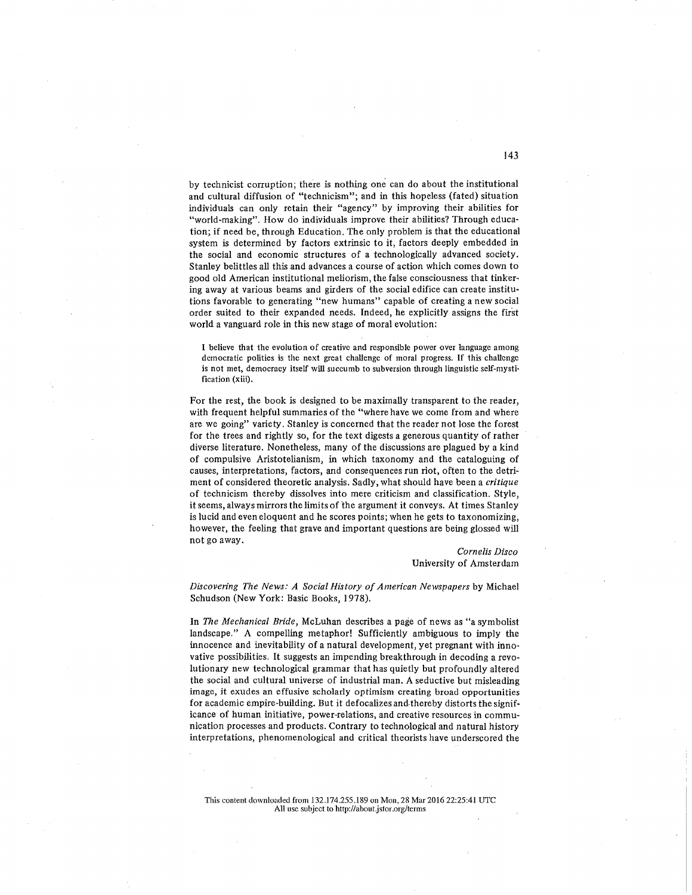by technicist corruption; there is nothing one can do about the institutional and cultural diffusion of "technicism"; and in this hopeless (fated) situation individuals can only retain their "agency" by improving their abilities for "world-making". How do individuals improve their abilities? Through education; if need be, through Education. The only problem is that the educational system is determined by factors extrinsic to it, factors deeply embedded in the social and economic structures of a technologically advanced society. Stanley belittles all this and advances a course of action which comes down to good old American institutional meliorism, the false consciousness that tinkering away at various beams and girders of the social edifice can create institutions favorable to generating "new humans" capable of creating a new social order suited to their expanded needs. Indeed, he explicitly assigns the first world a vanguard role in this new stage of moral evolution:

I believe that the evolution of creative and responsible power over language among democratic polities is the next great challenge of moral progress. If this challenge is not met, democracy itself will succumb to subversion through linguistic self-mystification (xiii).

For the rest, the book is designed to be maximally transparent to the reader, with frequent helpful summaries of the "where have we come from and where are we going" variety. Stanley is concerned that the reader not lose the forest for the trees and rightly so, for the text digests a generous quantity of rather diverse literature. Nonetheless, many of the discussions are plagued by a kind of compulsive Aristotelianism, in which taxonomy and the cataloguing of causes, interpretations, factors, and consequences run riot, often to the detriment of considered theoretic analysis. Sadly, what should have been a *critique* of teclmicism thereby dissolves into mere criticism and classification. Style, it seems, always mirrors the limits of the argument it conveys. At times Stanley is lucid and even eloquent and he scores points; when he gets to taxonomizing, however, the feeling that grave and important questions are being glossed will not go away.

> *Cornelis Disco* University of Amsterdam

*Discovering The News: A Social History of American Newspapers by Michael* Schudson (New York: Basic Books, 1978).

In *The Mechanical Bride,* McLuhan describes a page of news as "a symbolist landscape." A compelling metaphor! Sufficiently ambiguous to imply the innocence and inevitability of a natural development, yet pregnant with innovative possibilities. It suggests an impending breakthrough in decoding a revolutionary new technological grammar that has quietly but profoundly altered the social and cultural universe of industrial man. A seductive but misleading image, it exudes an effusive scholarly optimism creating broad opportunities for academic empire-building. But it defocalizes and thereby distorts the significance of human initiative, power-relations, and creative resources in communication processes and products. Contrary to technological and natural history interpretations, phenomenological and critical theorists have underscored the

This content downloaded from 132,174.255.189 on Mon, 28 Mar 2016 22:25:41 UTC All use subject to http://about.jstor.org/terms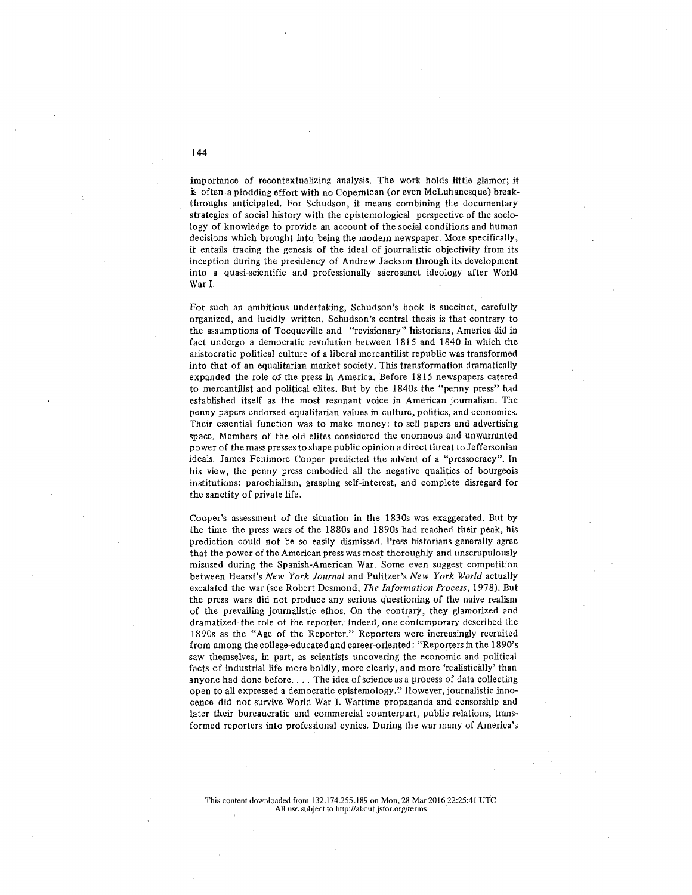importance of recontextualizing analysis. The work holds little glamor; it is often a plodding effort with no Copernican (or even McLuhanesque) breakthroughs anticipated. For Schudson, it means combining the documentary strategies of social history with the epistemological perspective of the sociology of knowledge to provide an account of the social conditions and human decisions which brought into being the modem newspaper. More specifically, it entails tracing the genesis of the ideal of journalistic objectivity from its inception during the presidency of Andrew Jackson through its development into a quasi-scientific and professionally sacrosanct ideology after World War I.

For such an ambitious undertaking, Schudson's book is succinct, carefully organized, and lucidly written. Schudson's central thesis is that contrary to the assumptions of Tocqueville and "revisionary" historians, America did in fact undergo a democratic revolution between 1815 and 1840 in which the aristocratic political culture of a liberal mercantilist republic was transformed into that of an equalitarian market society. This transformation dramatically expanded the role of the press in America. Before 1815 newspapers catered to mercantilist and political elites. But by the 1840s the "penny press" had established itself as the most resonant voice in American journalism. The penny papers endorsed equalitarian values in culture, politics, and economics. Their essential function was to make money: to sell papers and advertising space. Members of the old elites considered the enormous and unwarranted power of the mass presses to shape public opinion a direct threat to Jeffersonian ideals. James Fenimore Cooper predicted the advent of a "pressocracy". In his view, the penny press embodied all the negative qualities of bourgeois institutions: parochialism, grasping self-interest, and complete disregard for the sanctity of private life.

Cooper's assessment of the situation in the 1830s was exaggerated. But by the time the press wars of the 1880s and 1890s had reached their peak, his prediction could not be so easily dismissed. Press historians generally agree that the power of the American press was most thoroughly and unscrupulously misused during the Spanish-American War. Some even suggest competition between Hearst's *New York Journal* and Pulitzer's *New York World* actually escalated the war (see Robert Desmond, *The Information Process,* 1978). But the press wars did not produce any serious questioning of the naive realism of the prevailing journalistic ethos, On the contrary, they glamorized and dramatized the role of the reporter. Indeed, one contemporary described the 1890s as the "Age of the Reporter." Reporters were increasingly recruited from among the college-educated and career-oriented : "Reporters in the 1890's saw themselves, in part, as scientists uncovering the economic and political facts of industrial life more boldly, more clearly, and more 'realistically' than anyone had done before.... The idea of science as a process of data collecting open to all expressed a democratic epistemology.' However, journalistic innocence did not survive World War I. Wartime propaganda and censorship and later their bureaucratic and commercial counterpart, public relations, transformed reporters into professional cynics. During the war many of America's

This content downloaded from 132.174.255.189 on Mon, 28 Mar 2016 22:25:41 UTC All use subject to http://about.jstor.org/terms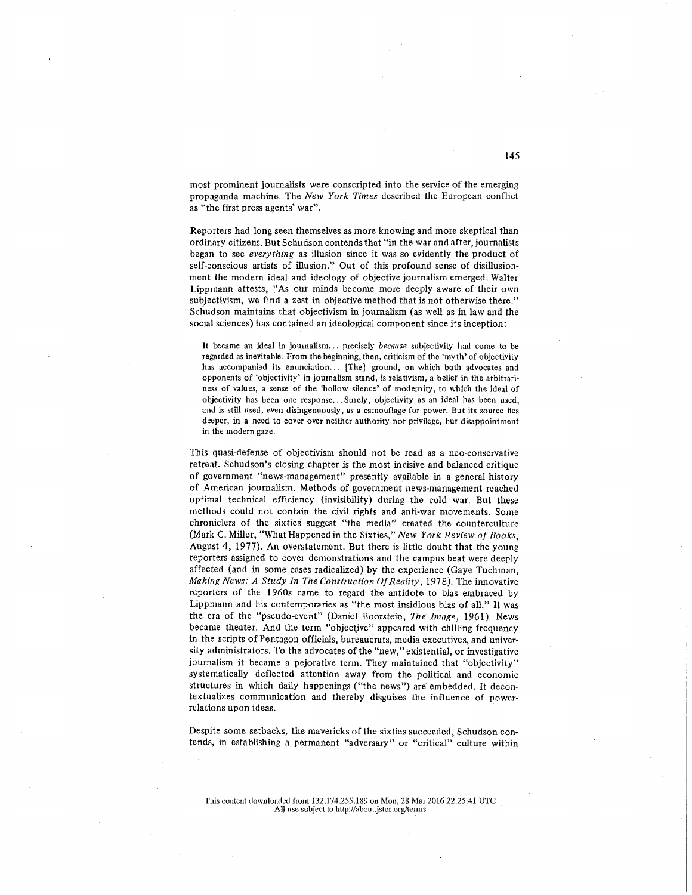most prominent journalists were conscripted into the service of the emerging propaganda machine. The *New York Times* described the European conflict as "the first press agents' war".

Reporters had long seen themselves as more knowing and more skeptical than ordinary citizens. But Schudson contends that "in the war and after, journalists began to see *everything* as illusion since it was so evidently the product of self-conscious artists of illusion." Out of this profound sense of disillusionment the modern ideal and ideology of objective journalism emerged. Walter Lippmann attests, "As our minds become more deeply aware of their own subjectivism, we find a zest in objective method that is not otherwise there." Schudson maintains that objectivism in journalism (as well as in law and the social sciences) has contained an ideological component since its inception:

It became an ideal in journalism.., precisely *because* subjectivity had come to be regarded as inevitable. From the beginning, then, criticism of the 'myth' of objectivity has accompanied its enunciation... [The) ground, on which both advocates and opponents of 'objectivity' in journalism stand, is relativism, a belief in the arbitrariness of values, a sense of the 'hollow silence' of modernity, to which the ideal of objectivity has been one response...Surely, objectivity as an ideal has been used, and is still used, even disingenuously, as a camouflage for power. But its source lies deeper, in a need to cover over neither authority nor privilege, but disappointment in the modern gaze.

This quasi-defense of objectivism should not be read as a neo-conservative retreat. Schudson's closing chapter is the most incisive and balanced critique of government "news-management" presently available in a general history of American journalism. Methods of government news-management reached optimal technical efficiency (invisibility) during the cold war. But these methods could not contain the civil rights and anti-war movements. Some chroniclers of the sixties suggest "the media" created the counterculture (Mark C. Miller, "What Happened in the Sixties," *New York Review of Books,* August 4, 1977). An overstatement. But there is little doubt that the young reporters assigned to cover demonstrations and the campus beat were deeply affected (and in some cases radicalized) by the experience (Gaye Tuchman, *Making News: A Study In The Construction Of Reality, 1978). The innovative* reporters of the 1960s came to regard the antidote to bias embraced by Lippmann and his contemporaries as "the most insidious bias of all." It was the era of the "pseudo-event" (Daniel Boorstein, *The Image,* 1961). News became theater. And the term "objective" appeared with chilling frequency in the scripts of Pentagon officials, bureaucrats, media executives, and university administrators. To the advocates of the "new," existential, or investigative journalism it became a pejorative term. They maintained that "objectivity" systematically deflected attention away from the political and economic structures in which daily happenings ("the news") are embedded. It decontextualizes communication and thereby disguises the influence of powerrelations upon ideas.

Despite some setbacks, the mavericks of the sixties succeeded, Schudson contends, in establishing a permanent "adversary" or "critical" culture within

This content downloaded from 132.174.255.189 on Mon, 28 Mar 2016 22:25:41 UTC All use subject to http://about.jstor.org/terms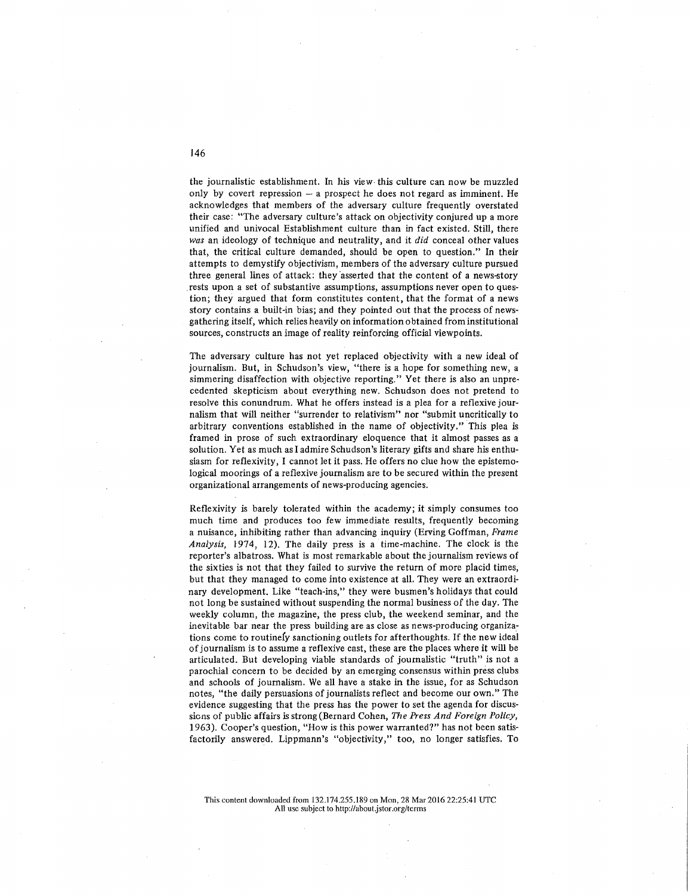the journalistic establishment. In his view this culture can now be muzzled only by covert repression  $-$  a prospect he does not regard as imminent. He acknowledges that members of the adversary culture frequently overstated their case: "The adversary culture's attack on objectivity conjured up a more unified and univocal Establishment culture than in fact existed. Still, there *was* an ideology of technique and neutrality, and it *did* conceal other values that, the critical culture demanded, should be open to question." In their attempts to demystify objectivism, members of the adversary culture pursued three general lines of attack: they 'asserted that the content of a news-story rests upon a set of substantive assumptions, assumptions never open to question; they argued that form constitutes content, that the format of a news story contains a built-in bias; and they pointed out that the process of newsgathering itself, which relies heavily on information obtained from institutional sources, constructs an image of reality reinforcing official viewpoints.

The adversary culture has not yet replaced objectivity with a new ideal of journalism. But, in Schudson's view, "there is a hope for something new, a simmering disaffection with objective reporting." Yet there is also an unprecedented skepticism about everything new. Schudson does not pretend to resolve this conundrum. What he offers instead is a plea for a reflexive journalism that will neither "surrender to relativism" nor "submit uncritically to arbitrary conventions established in the name of objectivity." This plea is framed in prose of such extraordinary eloquence that it almost passes as a solution. Yet as much as I admire Schudson's literary gifts and share his enthusiasm for reflexivity, I cannot let it pass. He offers no clue how the epistemological moorings of a reflexive journalism are to be secured within the present organizational arrangements of news-producing agencies.

Reflexivity is barely tolerated within the academy; it simply consumes too much time and produces too few immediate results, frequently becoming a nuisance, inhibiting rather than advancing inquiry (Erving Goffman, *Frame Analysis,* 1974, 12). The daily press is a time-machine. The clock is the reporter's albatross. What is most remarkable about the journalism reviews of the sixties is not that they failed to survive the return of more placid times, but that they managed to come into existence at all. They were an extraordinary development. Like "teach-ins," they were busmen's holidays that could not long be sustained without suspending the normal business of the day. The weekly column, the magazine, the press club, the weekend seminar, and the inevitable bar near the press building are as close as news-producing organizations come to routinely sanctioning outlets for afterthoughts. If the new ideal of journalism is to assume a reflexive cast, these are the places where it will be articulated. But developing viable standards of journalistic "truth" is not a parochial concern to be decided by an emerging consensus within press clubs and schools of journalism. We all have a stake in the issue, for as Schudson notes, "the daily persuasions of journalists reflect and become our own." The evidence suggesting that the press has the power to set the agenda for discussions of public affairs is strong (Bernard Cohen, *The Press And Foreign Policy,* 1963). Cooper's question, "How is this power warranted?" has not been satisfactorily answered. Lippmann's "objectivity," too, no longer satisfies. To

This content downloaded from 132.174255.189 on Mon, 28 Mar 2016 22:25:41 UTC All use subject to http://about.jstor.org/terms

146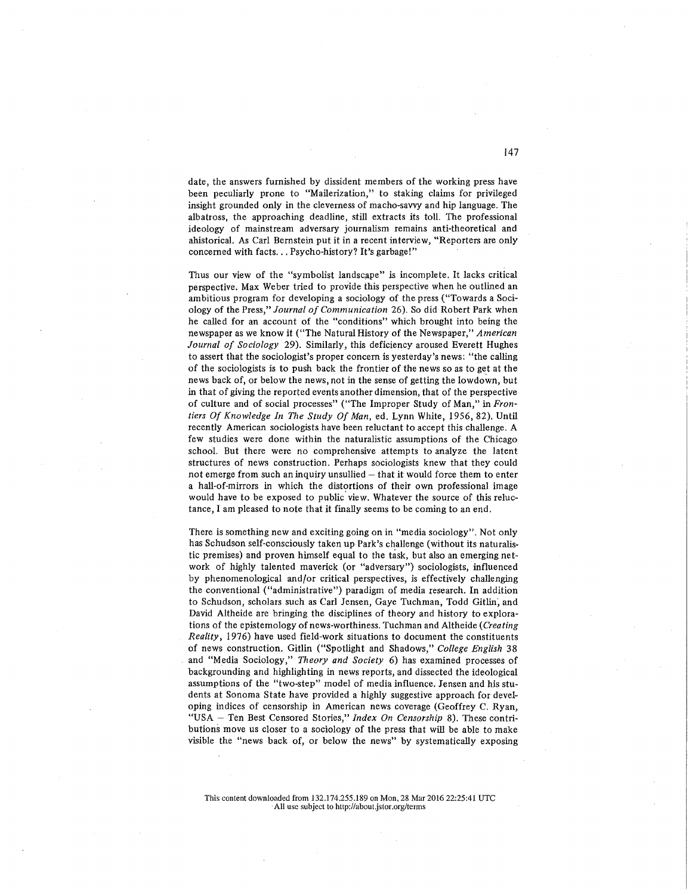date, the answers furnished by dissident members of the working press have been peculiarly prone to "Mailerization," to staking claims for privileged insight grounded only in the cleverness of macho-savvy and hip language. The albatross, the approaching deadline, still extracts its toll. The professional ideology of mainstream adversary journalism remains anti-theoretical and ahistorical. As Carl Bernstein put it in a recent interview, "Reporters are only concerned with facts... Psycho-history? It's garbage!"

Thus our view of the "symbolist landscape" is incomplete. It lacks critical perspective. Max Weber tried to provide this perspective when he outlined an ambitious program for developing a sociology of the press ("Towards a Sociology of the Press," *Journal of Communication* 26). So did Robert Park when he called for an account of the "conditions" which brought into being the newspaper as we know it ("The Natural History of the Newspaper," *American Journal of Sociology* 29). Similarly, this deficiency aroused Everett Hughes to assert that the sociologist's proper concern is yesterday's news: "the calling of the sociologists is to push back the frontier of the news so as to get at the news back of, or below the news, not in the sense of getting the lowdown, but in that of giving the reported events another dimension, that of the perspective of culture and of social processes" ("The Improper Study of Man," in *Frontiers Of Knowledge In The Study Of Man, ed. Lynn White, 1956, 82). Until* recently American sociologists have been reluctant to accept this challenge. A few studies were done within the naturalistic assumptions of the Chicago school. But there were no comprehensive attempts to analyze the latent structures of news construction. Perhaps sociologists knew that they could not emerge from such an inquiry unsullied — that it would force them to enter a hall-of-mirrors in which the distortions of their own professional image would have to be exposed to public view. Whatever the source of this reluctance, I am pleased to note that it finally seems to be coming to an end.

There is something new and exciting going on in "media sociology". Not only has Schudson self-consciously taken up Park's challenge (without its naturalistic premises) and proven himself equal to the task, but also an emerging network of highly talented maverick (or "adversary") sociologists, influenced by phenomenological and/or critical perspectives, is effectively challenging the conventional ("administrative") paradigm of media research. In addition to Schudson, scholars such as Carl Jensen, Gaye Tuchman, Todd Gitlin, and David Altheide are bringing the disciplines of theory and history to explorations of the epistemology of news-worthiness. Tuchman and Altheide *(Creating Reality,* 1976) have used field-work situations to document the constituents of news construction. Gitlin ("Spotlight and Shadows," *College English* 38 and "Media Sociology," *Theory and Society* 6) has examined processes of backgrounding and highlighting in news reports, and dissected the ideological assumptions of the "two-step" model of media influence. Jensen and his students at Sonoma State have provided a highly suggestive approach for developing indices of censorship in American news coverage (Geoffrey C. Ryan, "USA — Ten Best Censored Stories," *Index On Censorship* 8). These contributions move us closer to a sociology of the press that will be able to make visible the "news back of, or below the news" by systematically exposing

This content downloaded from 132.174.255.189 on Mon, 28 Mar 2016 22:25:41 UTC All use subject to http://about.jstor.org/terms

147